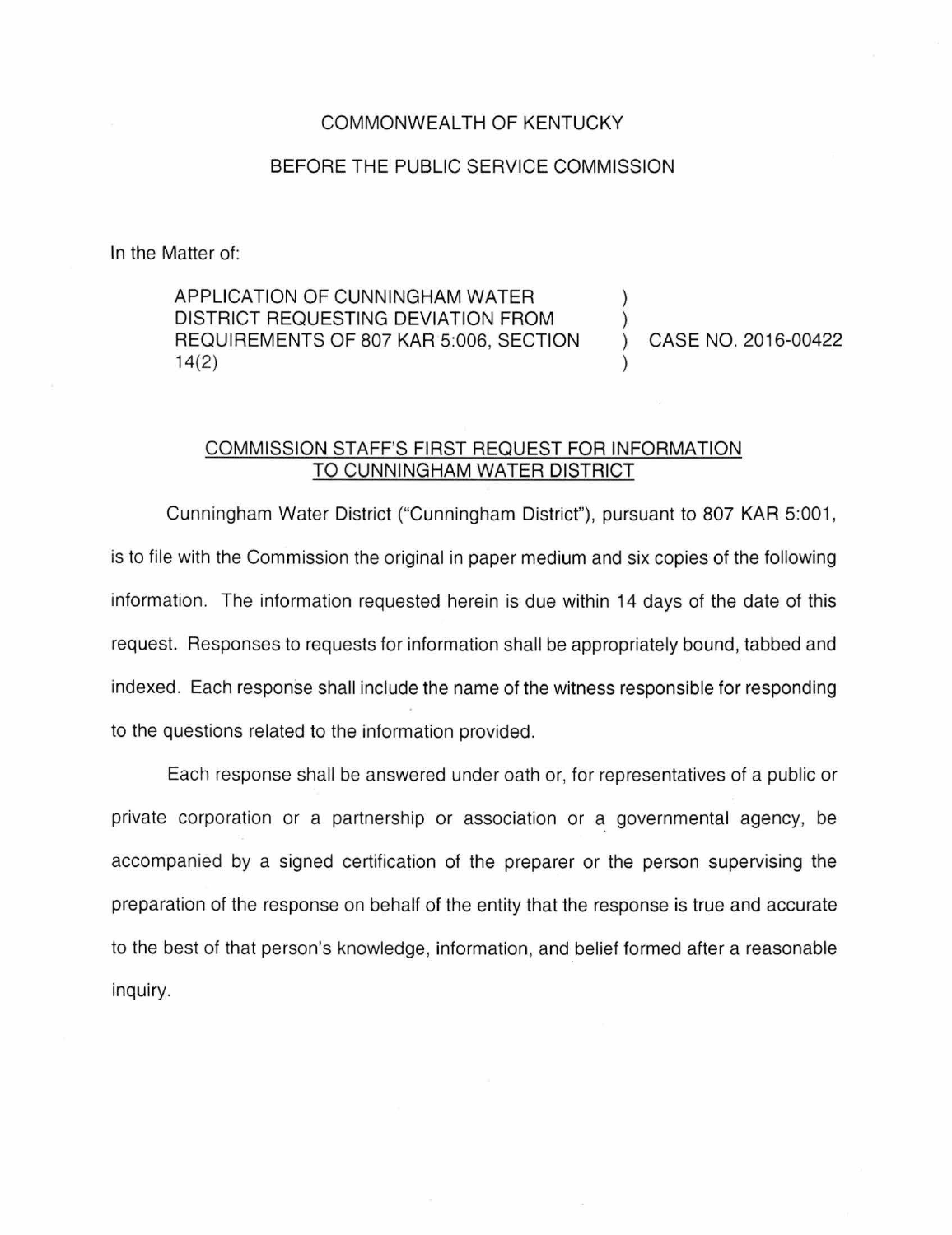## COMMONWEALTH OF KENTUCKY

## BEFORE THE PUBLIC SERVICE COMMISSION

In the Matter of:

APPLICATION OF CUNNINGHAM WATER DISTRICT REQUESTING DEVIATION FROM REQUIREMENTS OF 807 KAR 5:006, SECTION 14(2)

CASE NO. 2016-00422

## COMMISSION STAFF'S FIRST REQUEST FOR INFORMATION TO CUNNINGHAM WATER DISTRICT

Cunningham Water District ("Cunningham District"), pursuant to 807 KAR 5:001 , is to file with the Commission the original in paper medium and six copies of the following information. The information requested herein is due within 14 days of the date of this request. Responses to requests for information shall be appropriately bound, tabbed and indexed. Each response shall include the name of the witness responsible for responding to the questions related to the information provided.

Each response shall be answered under oath or, for representatives of a public or private corporation or a partnership or association or a governmental agency, be accompanied by a signed certification of the preparer or the person supervising the preparation of the response on behalf of the entity that the response is true and accurate to the best of that person's knowledge, information, and belief formed after a reasonable inquiry.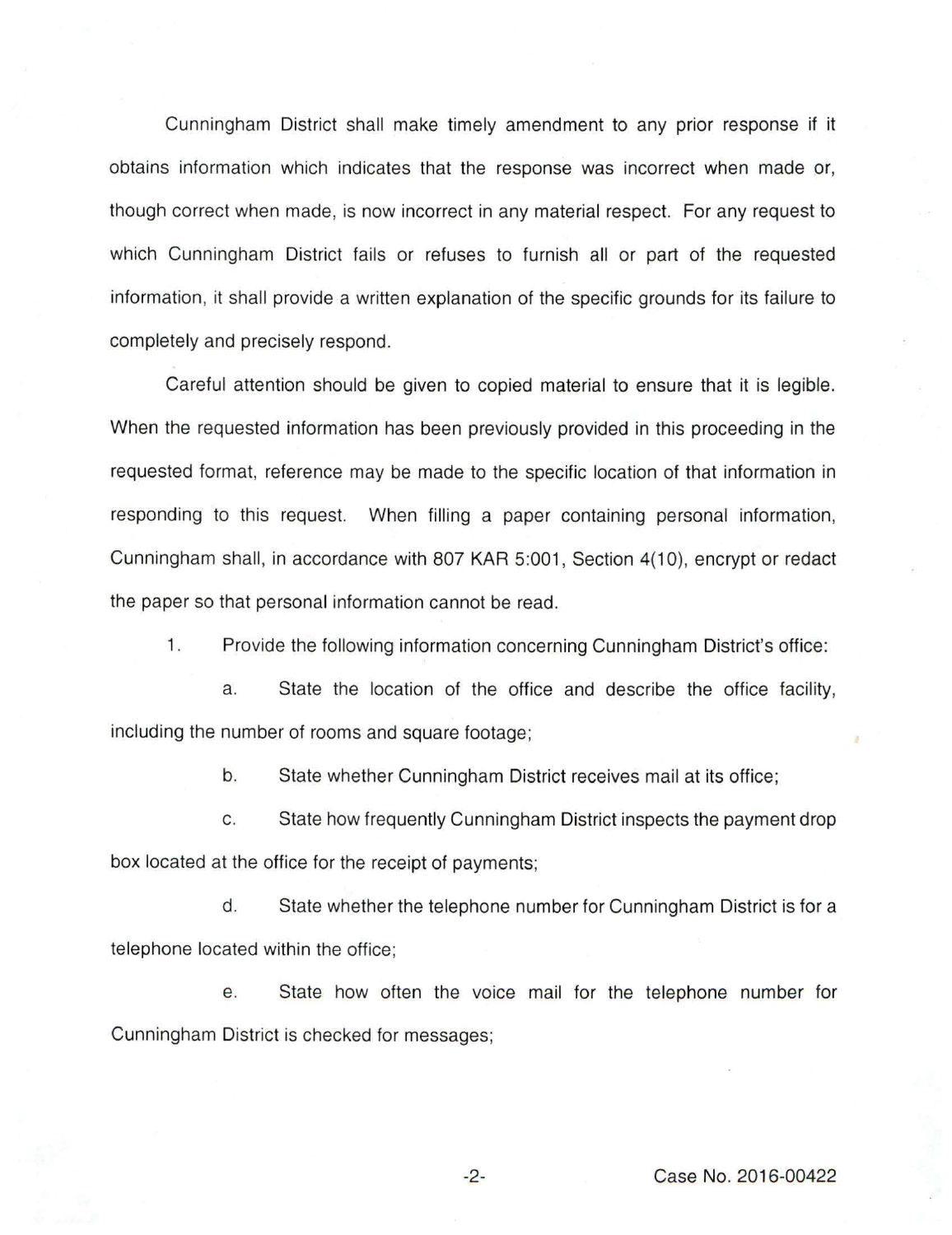Cunningham District shall make timely amendment to any prior response if it obtains information which indicates that the response was incorrect when made or, though correct when made, is now incorrect in any material respect. For any request to which Cunningham District fails or refuses to furnish all or part of the requested information, it shall provide a written explanation of the specific grounds for its failure to completely and precisely respond.

Careful attention should be given to copied material to ensure that it is legible. When the requested information has been previously provided in this proceeding in the requested format, reference may be made to the specific location of that information in responding to this request. When filling a paper containing personal information, Cunningham shall, in accordance with 807 KAR 5:001, Section 4(10), encrypt or redact the paper so that personal information cannot be read.

1. Provide the following information concerning Cunningham District's office:

a. State the location of the office and describe the office facility, including the number of rooms and square footage;

b. State whether Cunningham District receives mail at its office;

c. State how frequently Cunningham District inspects the payment drop box located at the office for the receipt of payments;

d. State whether the telephone number for Cunningham District is for a telephone located within the office;

e. State how often the voice mail for the telephone number for Cunningham District is checked for messages;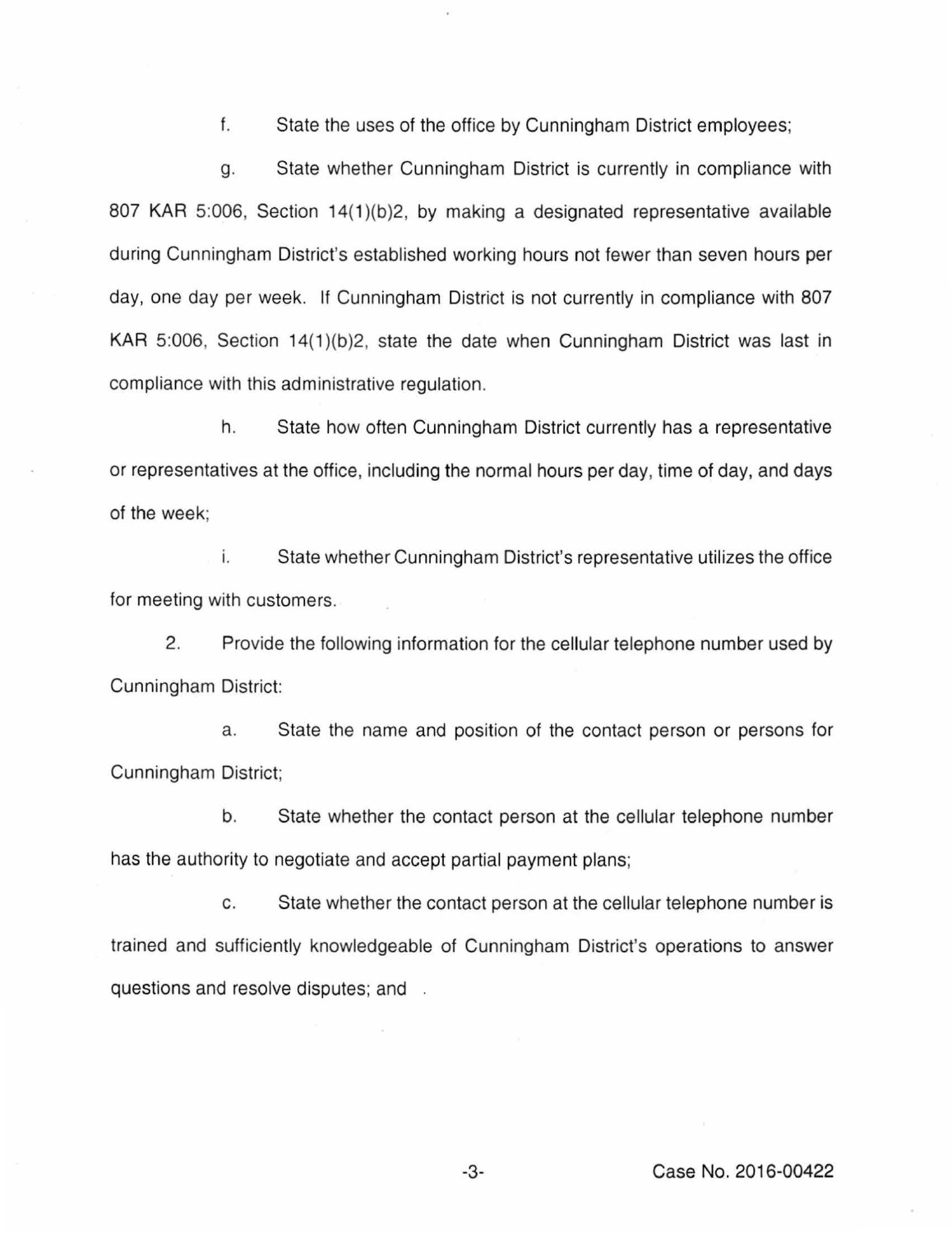f. State the uses of the office by Cunningham District employees;

g. State whether Cunningham District is currently in compliance with 807 KAR 5:006, Section 14(1)(b)2, by making a designated representative available during Cunningham District's established working hours not fewer than seven hours per day, one day per week. If Cunningham District is not currently in compliance with 807 KAR 5:006, Section 14(1)(b)2, state the date when Cunningham District was last in compliance with this administrative regulation.

h. State how often Cunningham District currently has a representative or representatives at the office, including the normal hours per day, time of day, and days of the week;

i. State whether Cunningham District's representative utilizes the office for meeting with customers.

2. Provide the following information for the cellular telephone number used by Cunningham District:

a. State the name and position of the contact person or persons for Cunningham District;

b. State whether the contact person at the cellular telephone number has the authority to negotiate and accept partial payment plans;

c. State whether the contact person at the cellular telephone number is trained and sufficiently knowledgeable of Cunningham District's operations to answer questions and resolve disputes; and .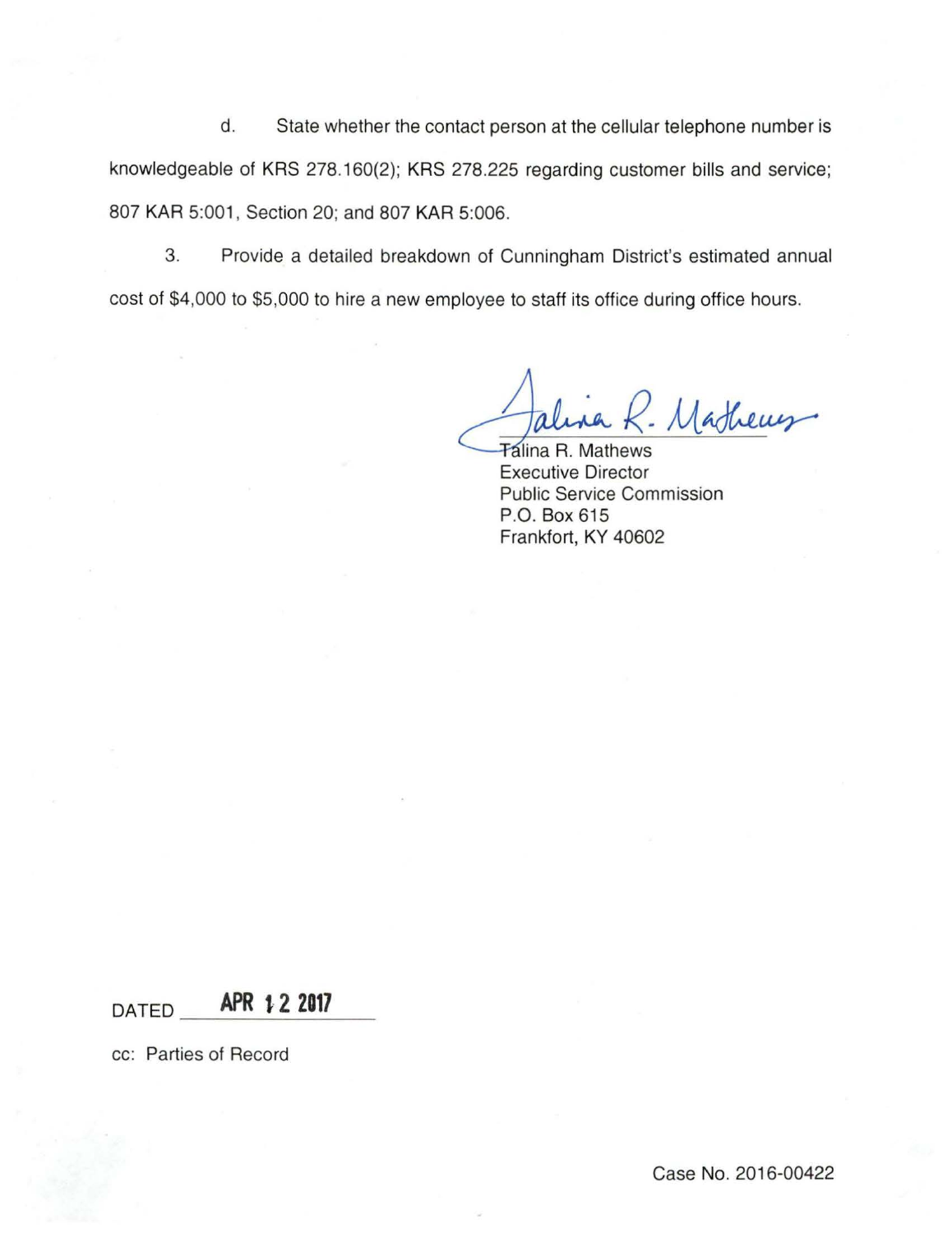d. State whether the contact person at the cellular telephone number is knowledgeable of KRS 278.160(2); KRS 278.225 regarding customer bills and service; 807 KAR 5:001, Section 20; and 807 KAR 5:006.

3. Provide a detailed breakdown of Cunningham District's estimated annual cost of \$4,000 to \$5,000 to hire a new employee to staff its office during office hours.

Mathems

**Talina R. Mathews** Executive Director Public Service Commission P.O. Box 615 Frankfort, KY 40602

DATED **APR 1 2 2017** 

cc: Parties of Record

Case No. 2016-00422